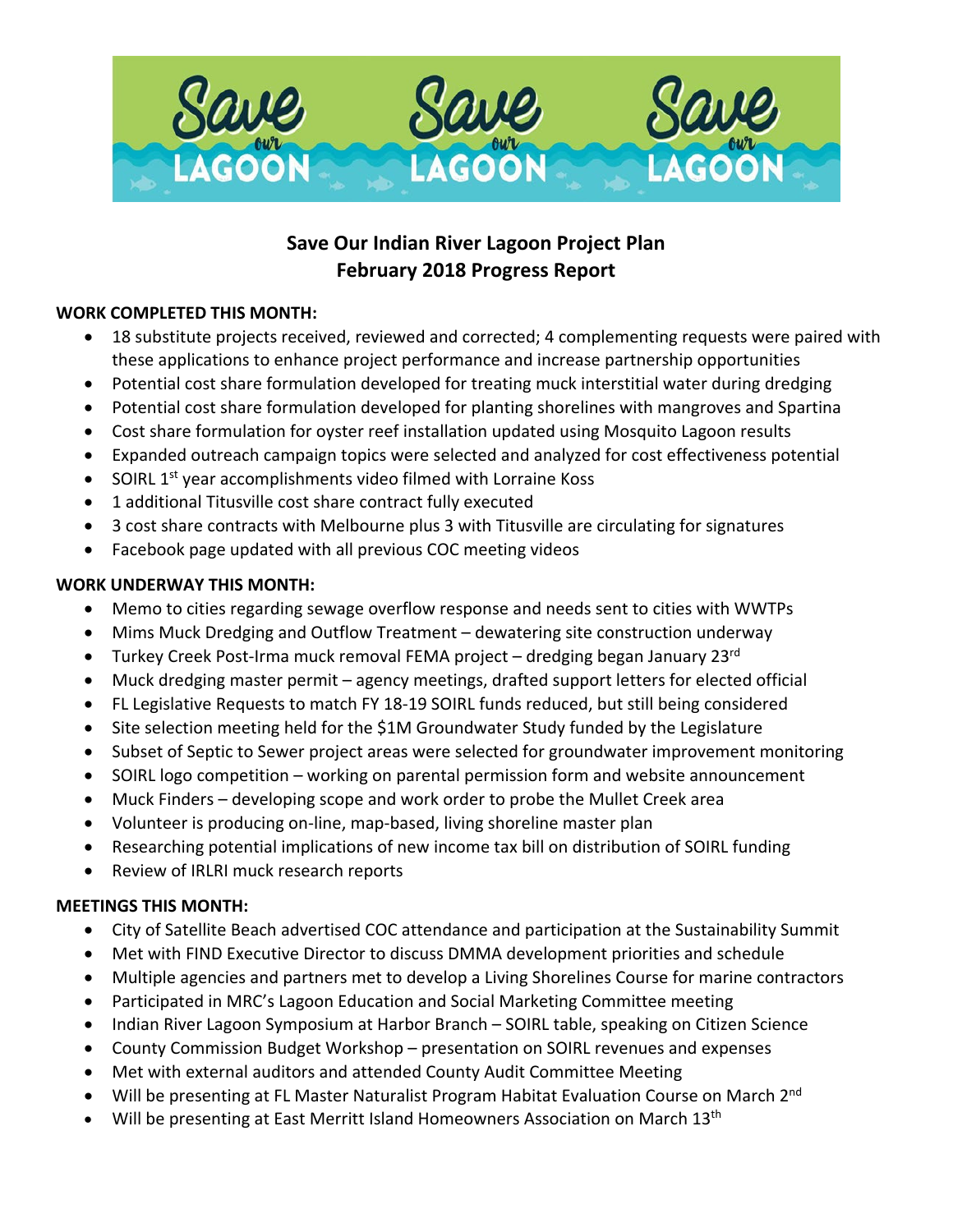

# **Save Our Indian River Lagoon Project Plan February 2018 Progress Report**

### **WORK COMPLETED THIS MONTH:**

- 18 substitute projects received, reviewed and corrected; 4 complementing requests were paired with these applications to enhance project performance and increase partnership opportunities
- Potential cost share formulation developed for treating muck interstitial water during dredging
- Potential cost share formulation developed for planting shorelines with mangroves and Spartina
- Cost share formulation for oyster reef installation updated using Mosquito Lagoon results
- Expanded outreach campaign topics were selected and analyzed for cost effectiveness potential
- SOIRL 1<sup>st</sup> year accomplishments video filmed with Lorraine Koss
- 1 additional Titusville cost share contract fully executed
- 3 cost share contracts with Melbourne plus 3 with Titusville are circulating for signatures
- Facebook page updated with all previous COC meeting videos

#### **WORK UNDERWAY THIS MONTH:**

- Memo to cities regarding sewage overflow response and needs sent to cities with WWTPs
- Mims Muck Dredging and Outflow Treatment dewatering site construction underway
- Turkey Creek Post-Irma muck removal FEMA project dredging began January 23<sup>rd</sup>
- Muck dredging master permit agency meetings, drafted support letters for elected official
- FL Legislative Requests to match FY 18-19 SOIRL funds reduced, but still being considered
- Site selection meeting held for the \$1M Groundwater Study funded by the Legislature
- Subset of Septic to Sewer project areas were selected for groundwater improvement monitoring
- SOIRL logo competition working on parental permission form and website announcement
- Muck Finders developing scope and work order to probe the Mullet Creek area
- Volunteer is producing on-line, map-based, living shoreline master plan
- Researching potential implications of new income tax bill on distribution of SOIRL funding
- Review of IRLRI muck research reports

#### **MEETINGS THIS MONTH:**

- City of Satellite Beach advertised COC attendance and participation at the Sustainability Summit
- Met with FIND Executive Director to discuss DMMA development priorities and schedule
- Multiple agencies and partners met to develop a Living Shorelines Course for marine contractors
- Participated in MRC's Lagoon Education and Social Marketing Committee meeting
- Indian River Lagoon Symposium at Harbor Branch SOIRL table, speaking on Citizen Science
- County Commission Budget Workshop presentation on SOIRL revenues and expenses
- Met with external auditors and attended County Audit Committee Meeting
- Will be presenting at FL Master Naturalist Program Habitat Evaluation Course on March 2<sup>nd</sup>
- Will be presenting at East Merritt Island Homeowners Association on March 13<sup>th</sup>